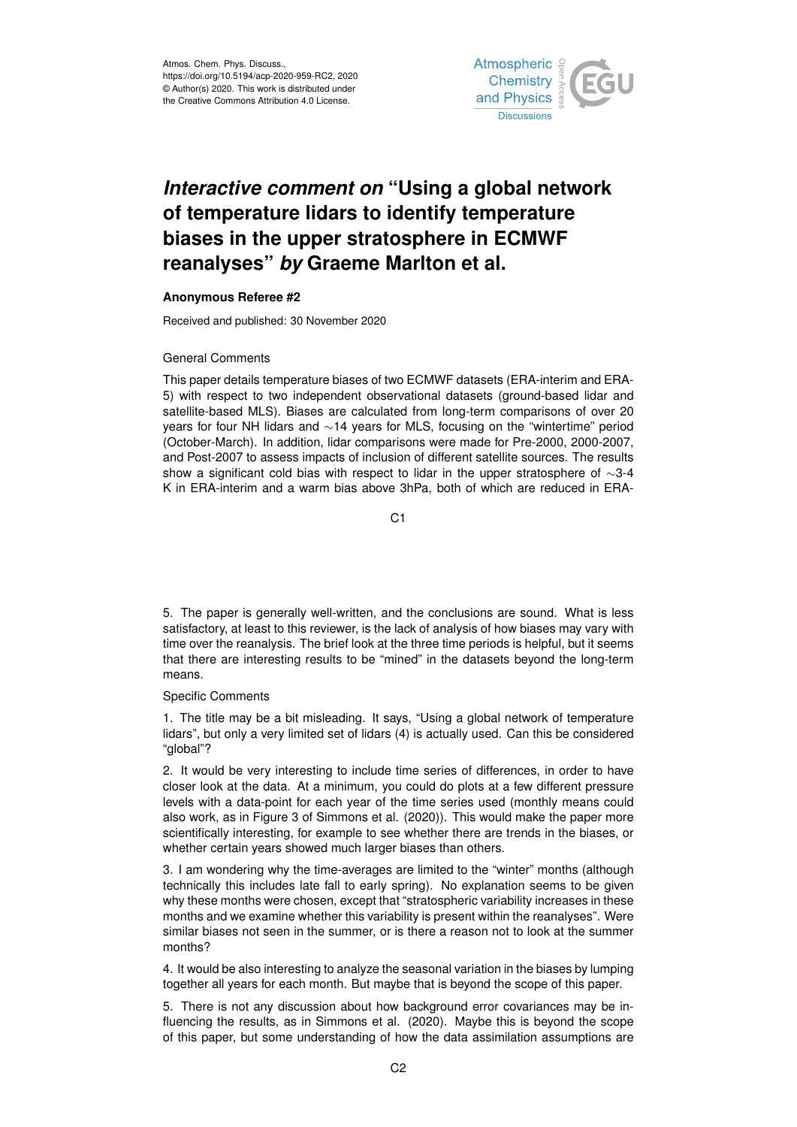

## *Interactive comment on* **"Using a global network of temperature lidars to identify temperature biases in the upper stratosphere in ECMWF reanalyses"** *by* **Graeme Marlton et al.**

## **Anonymous Referee #2**

Received and published: 30 November 2020

## General Comments

This paper details temperature biases of two ECMWF datasets (ERA-interim and ERA-5) with respect to two independent observational datasets (ground-based lidar and satellite-based MLS). Biases are calculated from long-term comparisons of over 20 years for four NH lidars and ∼14 years for MLS, focusing on the "wintertime" period (October-March). In addition, lidar comparisons were made for Pre-2000, 2000-2007, and Post-2007 to assess impacts of inclusion of different satellite sources. The results show a significant cold bias with respect to lidar in the upper stratosphere of ∼3-4 K in ERA-interim and a warm bias above 3hPa, both of which are reduced in ERA-

C1

5. The paper is generally well-written, and the conclusions are sound. What is less satisfactory, at least to this reviewer, is the lack of analysis of how biases may vary with time over the reanalysis. The brief look at the three time periods is helpful, but it seems that there are interesting results to be "mined" in the datasets beyond the long-term means.

## Specific Comments

1. The title may be a bit misleading. It says, "Using a global network of temperature lidars", but only a very limited set of lidars (4) is actually used. Can this be considered "global"?

2. It would be very interesting to include time series of differences, in order to have closer look at the data. At a minimum, you could do plots at a few different pressure levels with a data-point for each year of the time series used (monthly means could also work, as in Figure 3 of Simmons et al. (2020)). This would make the paper more scientifically interesting, for example to see whether there are trends in the biases, or whether certain years showed much larger biases than others.

3. I am wondering why the time-averages are limited to the "winter" months (although technically this includes late fall to early spring). No explanation seems to be given why these months were chosen, except that "stratospheric variability increases in these months and we examine whether this variability is present within the reanalyses". Were similar biases not seen in the summer, or is there a reason not to look at the summer months?

4. It would be also interesting to analyze the seasonal variation in the biases by lumping together all years for each month. But maybe that is beyond the scope of this paper.

5. There is not any discussion about how background error covariances may be influencing the results, as in Simmons et al. (2020). Maybe this is beyond the scope of this paper, but some understanding of how the data assimilation assumptions are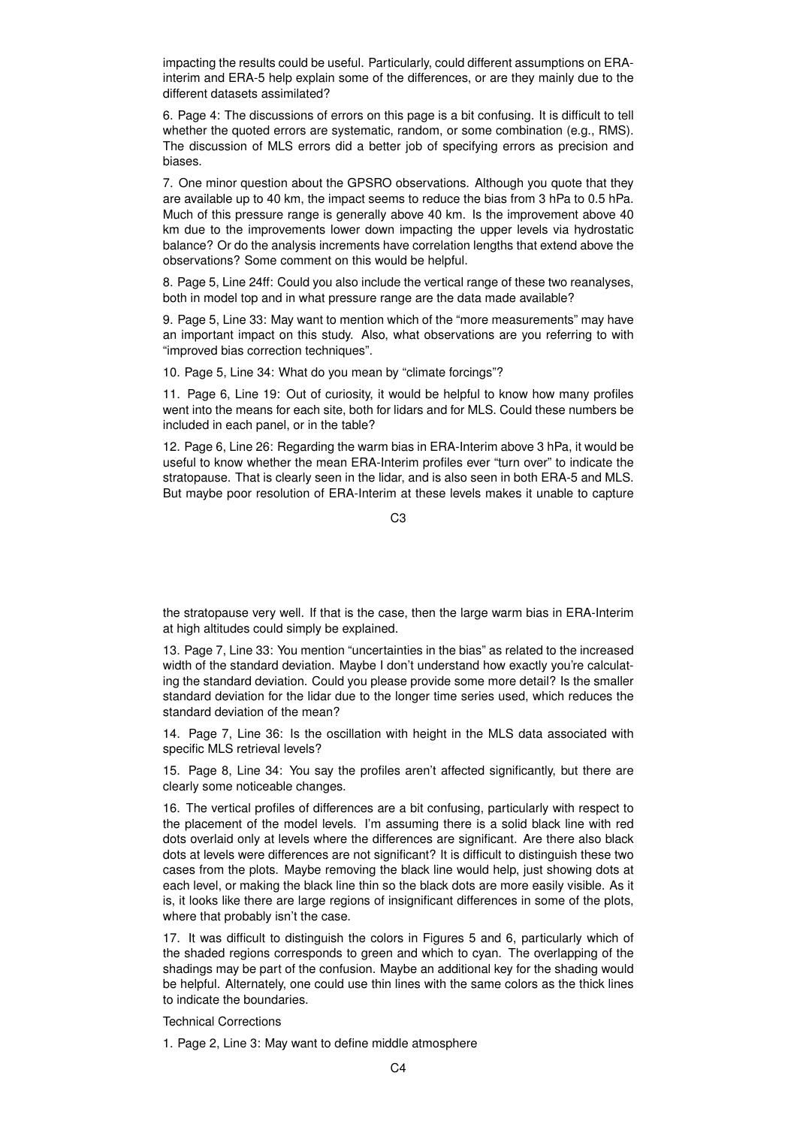impacting the results could be useful. Particularly, could different assumptions on ERAinterim and ERA-5 help explain some of the differences, or are they mainly due to the different datasets assimilated?

6. Page 4: The discussions of errors on this page is a bit confusing. It is difficult to tell whether the quoted errors are systematic, random, or some combination (e.g., RMS). The discussion of MLS errors did a better job of specifying errors as precision and biases.

7. One minor question about the GPSRO observations. Although you quote that they are available up to 40 km, the impact seems to reduce the bias from 3 hPa to 0.5 hPa. Much of this pressure range is generally above 40 km. Is the improvement above 40 km due to the improvements lower down impacting the upper levels via hydrostatic balance? Or do the analysis increments have correlation lengths that extend above the observations? Some comment on this would be helpful.

8. Page 5, Line 24ff: Could you also include the vertical range of these two reanalyses, both in model top and in what pressure range are the data made available?

9. Page 5, Line 33: May want to mention which of the "more measurements" may have an important impact on this study. Also, what observations are you referring to with "improved bias correction techniques".

10. Page 5, Line 34: What do you mean by "climate forcings"?

11. Page 6, Line 19: Out of curiosity, it would be helpful to know how many profiles went into the means for each site, both for lidars and for MLS. Could these numbers be included in each panel, or in the table?

12. Page 6, Line 26: Regarding the warm bias in ERA-Interim above 3 hPa, it would be useful to know whether the mean ERA-Interim profiles ever "turn over" to indicate the stratopause. That is clearly seen in the lidar, and is also seen in both ERA-5 and MLS. But maybe poor resolution of ERA-Interim at these levels makes it unable to capture

 $C<sub>3</sub>$ 

the stratopause very well. If that is the case, then the large warm bias in ERA-Interim at high altitudes could simply be explained.

13. Page 7, Line 33: You mention "uncertainties in the bias" as related to the increased width of the standard deviation. Maybe I don't understand how exactly you're calculating the standard deviation. Could you please provide some more detail? Is the smaller standard deviation for the lidar due to the longer time series used, which reduces the standard deviation of the mean?

14. Page 7, Line 36: Is the oscillation with height in the MLS data associated with specific MLS retrieval levels?

15. Page 8, Line 34: You say the profiles aren't affected significantly, but there are clearly some noticeable changes.

16. The vertical profiles of differences are a bit confusing, particularly with respect to the placement of the model levels. I'm assuming there is a solid black line with red dots overlaid only at levels where the differences are significant. Are there also black dots at levels were differences are not significant? It is difficult to distinguish these two cases from the plots. Maybe removing the black line would help, just showing dots at each level, or making the black line thin so the black dots are more easily visible. As it is, it looks like there are large regions of insignificant differences in some of the plots, where that probably isn't the case.

17. It was difficult to distinguish the colors in Figures 5 and 6, particularly which of the shaded regions corresponds to green and which to cyan. The overlapping of the shadings may be part of the confusion. Maybe an additional key for the shading would be helpful. Alternately, one could use thin lines with the same colors as the thick lines to indicate the boundaries.

Technical Corrections

1. Page 2, Line 3: May want to define middle atmosphere